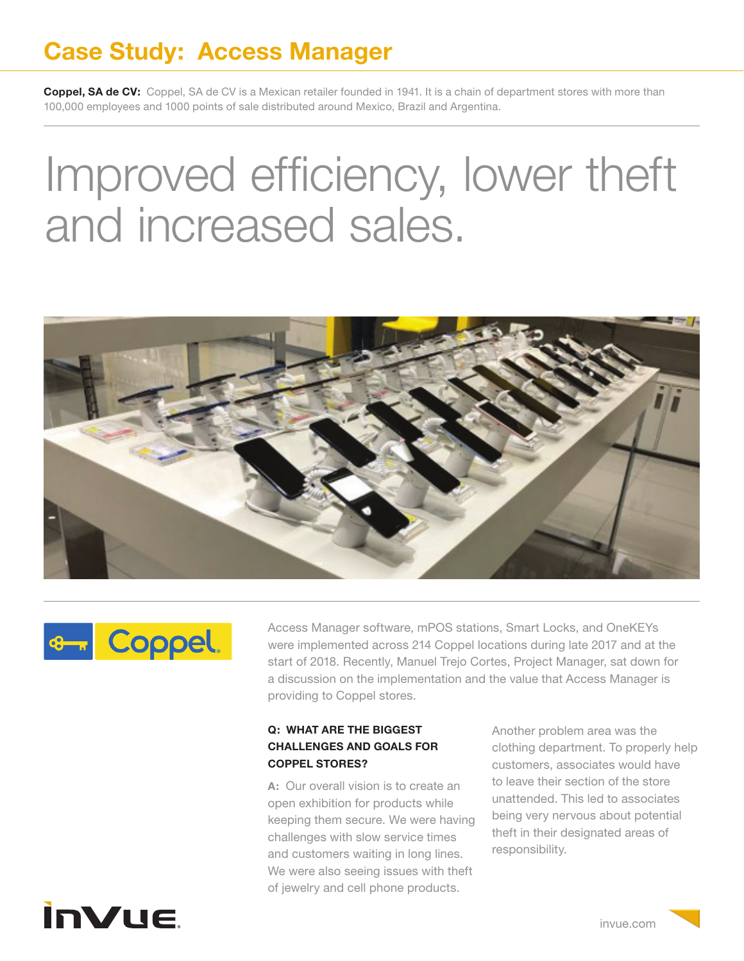## **Case Study: Access Manager**

**Coppel, SA de CV:** Coppel, SA de CV is a Mexican retailer founded in 1941. It is a chain of department stores with more than 100,000 employees and 1000 points of sale distributed around Mexico, Brazil and Argentina.

# Improved efficiency, lower theft and increased sales.





Access Manager software, mPOS stations, Smart Locks, and OneKEYs were implemented across 214 Coppel locations during late 2017 and at the start of 2018. Recently, Manuel Trejo Cortes, Project Manager, sat down for a discussion on the implementation and the value that Access Manager is providing to Coppel stores.

#### **Q: WHAT ARE THE BIGGEST CHALLENGES AND GOALS FOR COPPEL STORES?**

**A:** Our overall vision is to create an open exhibition for products while keeping them secure. We were having challenges with slow service times and customers waiting in long lines. We were also seeing issues with theft of jewelry and cell phone products.

Another problem area was the clothing department. To properly help customers, associates would have to leave their section of the store unattended. This led to associates being very nervous about potential theft in their designated areas of responsibility.

# **InVue**